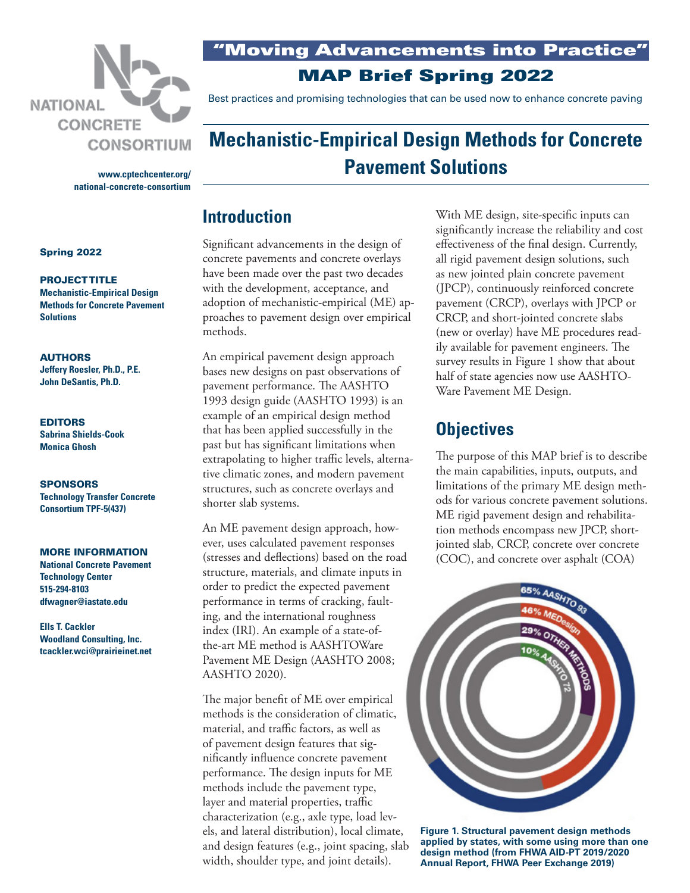

**[www.cptechcenter.org/](http://www.cptechcenter.org/national-concrete-consortium) [national-concrete-consortium](http://www.cptechcenter.org/national-concrete-consortium)** "Moving Advancements into Practice"

MAP Brief Spring 2022

Best practices and promising technologies that can be used now to enhance concrete paving

# **Mechanistic-Empirical Design Methods for Concrete Pavement Solutions**

## **Introduction**

Significant advancements in the design of concrete pavements and concrete overlays have been made over the past two decades with the development, acceptance, and adoption of mechanistic-empirical (ME) approaches to pavement design over empirical methods.

An empirical pavement design approach bases new designs on past observations of pavement performance. The AASHTO 1993 design guide (AASHTO 1993) is an example of an empirical design method that has been applied successfully in the past but has significant limitations when extrapolating to higher traffic levels, alternative climatic zones, and modern pavement structures, such as concrete overlays and shorter slab systems.

An ME pavement design approach, however, uses calculated pavement responses (stresses and deflections) based on the road structure, materials, and climate inputs in order to predict the expected pavement performance in terms of cracking, faulting, and the international roughness index (IRI). An example of a state-ofthe-art ME method is AASHTOWare Pavement ME Design (AASHTO 2008; AASHTO 2020).

The major benefit of ME over empirical methods is the consideration of climatic, material, and traffic factors, as well as of pavement design features that significantly influence concrete pavement performance. The design inputs for ME methods include the pavement type, layer and material properties, traffic characterization (e.g., axle type, load levels, and lateral distribution), local climate, and design features (e.g., joint spacing, slab width, shoulder type, and joint details).

With ME design, site-specific inputs can significantly increase the reliability and cost effectiveness of the final design. Currently, all rigid pavement design solutions, such as new jointed plain concrete pavement (JPCP), continuously reinforced concrete pavement (CRCP), overlays with JPCP or CRCP, and short-jointed concrete slabs (new or overlay) have ME procedures readily available for pavement engineers. The survey results in Figure 1 show that about half of state agencies now use AASHTO-Ware Pavement ME Design.

## **Objectives**

The purpose of this MAP brief is to describe the main capabilities, inputs, outputs, and limitations of the primary ME design methods for various concrete pavement solutions. ME rigid pavement design and rehabilitation methods encompass new JPCP, shortjointed slab, CRCP, concrete over concrete (COC), and concrete over asphalt (COA)



**Figure 1. Structural pavement design methods applied by states, with some using more than one design method (from FHWA AID-PT 2019/2020 Annual Report, FHWA Peer Exchange 2019)**

#### Spring 2022

#### PROJECT TITLE **Mechanistic-Empirical Design Methods for Concrete Pavement Solutions**

#### AUTHORS

**Jeffery Roesler, Ph.D., P.E. John DeSantis, Ph.D.**

## EDITORS

**Sabrina Shields-Cook Monica Ghosh**

**SPONSORS Technology Transfer Concrete Consortium TPF-5(437)**

#### MORE INFORMATION

**National Concrete Pavement Technology Center 515-294-8103 dfwagner@iastate.edu**

**Ells T. Cackler Woodland Consulting, Inc. tcackler.wci@prairieinet.net**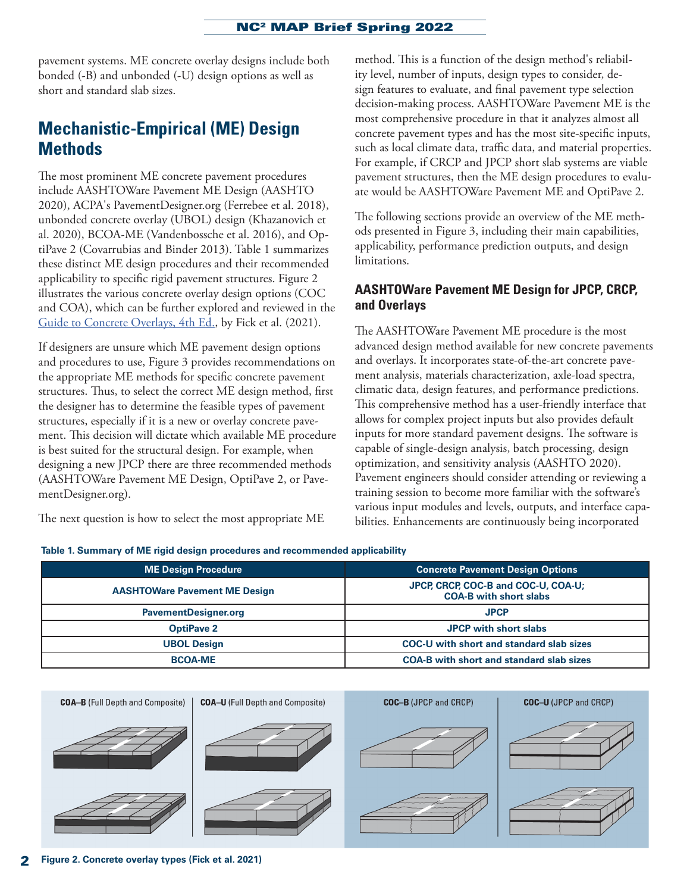pavement systems. ME concrete overlay designs include both bonded (-B) and unbonded (-U) design options as well as short and standard slab sizes.

## **Mechanistic-Empirical (ME) Design Methods**

The most prominent ME concrete pavement procedures include AASHTOWare Pavement ME Design (AASHTO 2020), ACPA's PavementDesigner.org (Ferrebee et al. 2018), unbonded concrete overlay (UBOL) design (Khazanovich et al. 2020), BCOA-ME (Vandenbossche et al. 2016), and OptiPave 2 (Covarrubias and Binder 2013). Table 1 summarizes these distinct ME design procedures and their recommended applicability to specific rigid pavement structures. Figure 2 illustrates the various concrete overlay design options (COC and COA), which can be further explored and reviewed in the [Guide to Concrete Overlays, 4th Ed.,](https://intrans.iastate.edu/app/uploads/2021/11/guide_to_concrete_overlays_4th_Ed_web.pdf) by Fick et al. (2021).

If designers are unsure which ME pavement design options and procedures to use, Figure 3 provides recommendations on the appropriate ME methods for specific concrete pavement structures. Thus, to select the correct ME design method, first the designer has to determine the feasible types of pavement structures, especially if it is a new or overlay concrete pavement. This decision will dictate which available ME procedure is best suited for the structural design. For example, when designing a new JPCP there are three recommended methods (AASHTOWare Pavement ME Design, OptiPave 2, or PavementDesigner.org).

The next question is how to select the most appropriate ME

method. This is a function of the design method's reliability level, number of inputs, design types to consider, design features to evaluate, and final pavement type selection decision-making process. AASHTOWare Pavement ME is the most comprehensive procedure in that it analyzes almost all concrete pavement types and has the most site-specific inputs, such as local climate data, traffic data, and material properties. For example, if CRCP and JPCP short slab systems are viable pavement structures, then the ME design procedures to evaluate would be AASHTOWare Pavement ME and OptiPave 2.

The following sections provide an overview of the ME methods presented in Figure 3, including their main capabilities, applicability, performance prediction outputs, and design limitations.

### **AASHTOWare Pavement ME Design for JPCP, CRCP, and Overlays**

The AASHTOWare Pavement ME procedure is the most advanced design method available for new concrete pavements and overlays. It incorporates state-of-the-art concrete pavement analysis, materials characterization, axle-load spectra, climatic data, design features, and performance predictions. This comprehensive method has a user-friendly interface that allows for complex project inputs but also provides default inputs for more standard pavement designs. The software is capable of single-design analysis, batch processing, design optimization, and sensitivity analysis (AASHTO 2020). Pavement engineers should consider attending or reviewing a training session to become more familiar with the software's various input modules and levels, outputs, and interface capabilities. Enhancements are continuously being incorporated

|  |  |  |  |  | Table 1. Summary of ME rigid design procedures and recommended applicability |  |
|--|--|--|--|--|------------------------------------------------------------------------------|--|
|--|--|--|--|--|------------------------------------------------------------------------------|--|

| <b>ME Design Procedure</b>           | <b>Concrete Pavement Design Options</b>                              |  |  |
|--------------------------------------|----------------------------------------------------------------------|--|--|
| <b>AASHTOWare Pavement ME Design</b> | JPCP, CRCP, COC-B and COC-U, COA-U;<br><b>COA-B with short slabs</b> |  |  |
| <b>PavementDesigner.org</b>          | <b>JPCP</b>                                                          |  |  |
| <b>OptiPave 2</b>                    | <b>JPCP with short slabs</b>                                         |  |  |
| <b>UBOL Design</b>                   | COC-U with short and standard slab sizes                             |  |  |
| <b>BCOA-ME</b>                       | <b>COA-B with short and standard slab sizes</b>                      |  |  |

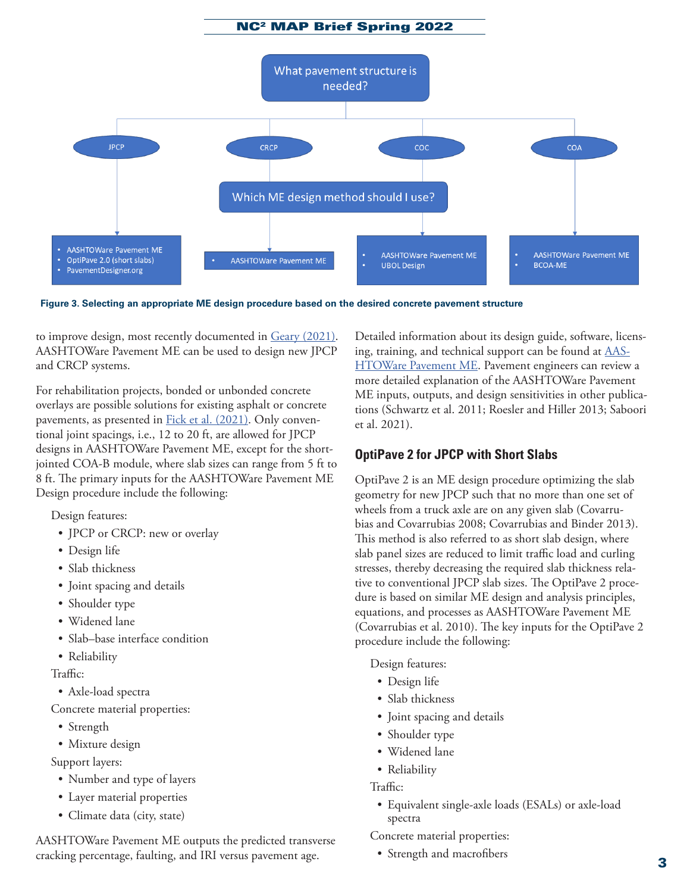

**Figure 3. Selecting an appropriate ME design procedure based on the desired concrete pavement structure**

to improve design, most recently documented in [Geary \(2021\).](https://intrans.iastate.edu/app/uploads/2021/12/synthesis_of_changes_to_ME_Design_for_concrete_pavements_w_cvr.pdf) AASHTOWare Pavement ME can be used to design new JPCP and CRCP systems.

For rehabilitation projects, bonded or unbonded concrete overlays are possible solutions for existing asphalt or concrete pavements, as presented in **Fick et al.** (2021). Only conventional joint spacings, i.e., 12 to 20 ft, are allowed for JPCP designs in AASHTOWare Pavement ME, except for the shortjointed COA-B module, where slab sizes can range from 5 ft to 8 ft. The primary inputs for the AASHTOWare Pavement ME Design procedure include the following:

Design features:

- JPCP or CRCP: new or overlay
- Design life
- Slab thickness
- Joint spacing and details
- Shoulder type
- Widened lane
- Slab–base interface condition
- Reliability

#### Traffic:

• Axle-load spectra

Concrete material properties:

- Strength
- Mixture design

Support layers:

- Number and type of layers
- Layer material properties
- Climate data (city, state)

AASHTOWare Pavement ME outputs the predicted transverse cracking percentage, faulting, and IRI versus pavement age.

Detailed information about its design guide, software, licensing, training, and technical support can be found at [AAS-](https://www.aashtoware.org/products/pavement/pavement-overview/)[HTOWare Pavement ME](https://www.aashtoware.org/products/pavement/pavement-overview/). Pavement engineers can review a more detailed explanation of the AASHTOWare Pavement ME inputs, outputs, and design sensitivities in other publications (Schwartz et al. 2011; Roesler and Hiller 2013; Saboori et al. 2021).

## **OptiPave 2 for JPCP with Short Slabs**

OptiPave 2 is an ME design procedure optimizing the slab geometry for new JPCP such that no more than one set of wheels from a truck axle are on any given slab (Covarrubias and Covarrubias 2008; Covarrubias and Binder 2013). This method is also referred to as short slab design, where slab panel sizes are reduced to limit traffic load and curling stresses, thereby decreasing the required slab thickness relative to conventional JPCP slab sizes. The OptiPave 2 procedure is based on similar ME design and analysis principles, equations, and processes as AASHTOWare Pavement ME (Covarrubias et al. 2010). The key inputs for the OptiPave 2 procedure include the following:

Design features:

- Design life
- Slab thickness
- Joint spacing and details
- Shoulder type
- Widened lane
- Reliability

Traffic:

• Equivalent single-axle loads (ESALs) or axle-load spectra

Concrete material properties:

• Strength and macrofibers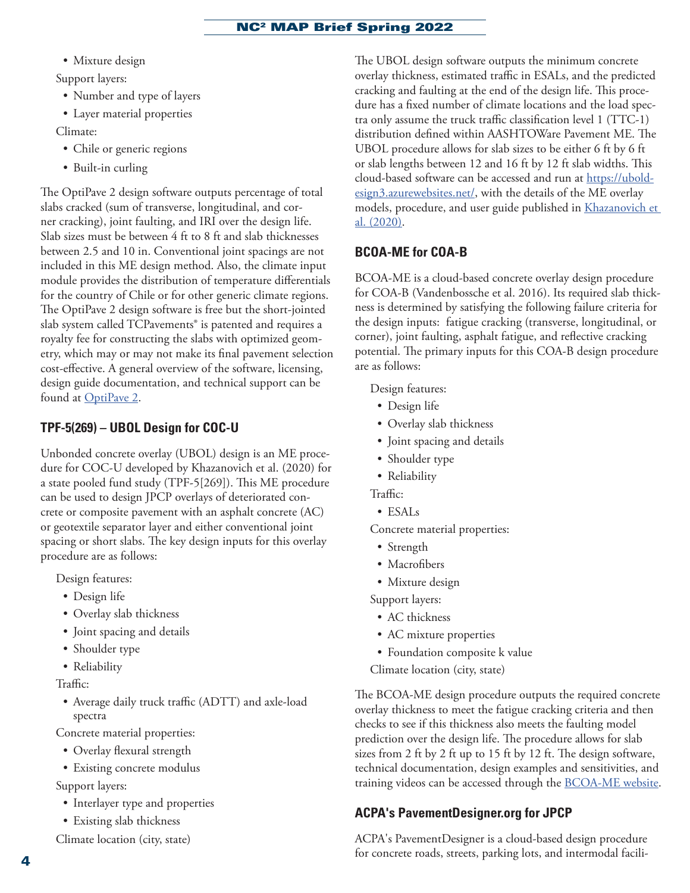- Mixture design Support layers:
	- Number and type of layers
- Layer material properties
- Climate:
	- Chile or generic regions
	- Built-in curling

The OptiPave 2 design software outputs percentage of total slabs cracked (sum of transverse, longitudinal, and corner cracking), joint faulting, and IRI over the design life. Slab sizes must be between 4 ft to 8 ft and slab thicknesses between 2.5 and 10 in. Conventional joint spacings are not included in this ME design method. Also, the climate input module provides the distribution of temperature differentials for the country of Chile or for other generic climate regions. The OptiPave 2 design software is free but the short-jointed slab system called TCPavements® is patented and requires a royalty fee for constructing the slabs with optimized geometry, which may or may not make its final pavement selection cost-effective. A general overview of the software, licensing, design guide documentation, and technical support can be found at [OptiPave 2.](http://www.tcpavements.cl/eng/software)

## **TPF-5(269) – UBOL Design for COC-U**

Unbonded concrete overlay (UBOL) design is an ME procedure for COC-U developed by Khazanovich et al. (2020) for a state pooled fund study (TPF-5[269]). This ME procedure can be used to design JPCP overlays of deteriorated concrete or composite pavement with an asphalt concrete (AC) or geotextile separator layer and either conventional joint spacing or short slabs. The key design inputs for this overlay procedure are as follows:

Design features:

- Design life
- Overlay slab thickness
- Joint spacing and details
- Shoulder type
- Reliability

Traffic:

• Average daily truck traffic (ADTT) and axle-load spectra

Concrete material properties:

- Overlay flexural strength
- Existing concrete modulus

Support layers:

- Interlayer type and properties
- Existing slab thickness

Climate location (city, state)

The UBOL design software outputs the minimum concrete overlay thickness, estimated traffic in ESALs, and the predicted cracking and faulting at the end of the design life. This procedure has a fixed number of climate locations and the load spectra only assume the truck traffic classification level 1 (TTC-1) distribution defined within AASHTOWare Pavement ME. The UBOL procedure allows for slab sizes to be either 6 ft by 6 ft or slab lengths between 12 and 16 ft by 12 ft slab widths. This cloud-based software can be accessed and run at [https://ubold](https://uboldesign3.azurewebsites.net/)[esign3.azurewebsites.net/](https://uboldesign3.azurewebsites.net/), with the details of the ME overlay models, procedure, and user guide published in [Khazanovich et](http://www.dot.state.mn.us/research/reports/2020/202008.pdf)  [al. \(2020\).](http://www.dot.state.mn.us/research/reports/2020/202008.pdf)

## **BCOA-ME for COA-B**

BCOA-ME is a cloud-based concrete overlay design procedure for COA-B (Vandenbossche et al. 2016). Its required slab thickness is determined by satisfying the following failure criteria for the design inputs: fatigue cracking (transverse, longitudinal, or corner), joint faulting, asphalt fatigue, and reflective cracking potential. The primary inputs for this COA-B design procedure are as follows:

Design features:

- Design life
- Overlay slab thickness
- Joint spacing and details
- Shoulder type
- Reliability

Traffic:

• ESALs

Concrete material properties:

- Strength
- Macrofibers
- Mixture design

Support layers:

- AC thickness
- AC mixture properties
- Foundation composite k value

Climate location (city, state)

The BCOA-ME design procedure outputs the required concrete overlay thickness to meet the fatigue cracking criteria and then checks to see if this thickness also meets the faulting model prediction over the design life. The procedure allows for slab sizes from 2 ft by 2 ft up to 15 ft by 12 ft. The design software, technical documentation, design examples and sensitivities, and training videos can be accessed through the [BCOA-ME website](https://www.engineeringx.pitt.edu/Sub-Sites/Faculty-Subsites/J_Vandenbossche/BCOA-ME/BCOA-ME-Design-Guide/).

## **ACPA's PavementDesigner.org for JPCP**

ACPA's PavementDesigner is a cloud-based design procedure for concrete roads, streets, parking lots, and intermodal facili-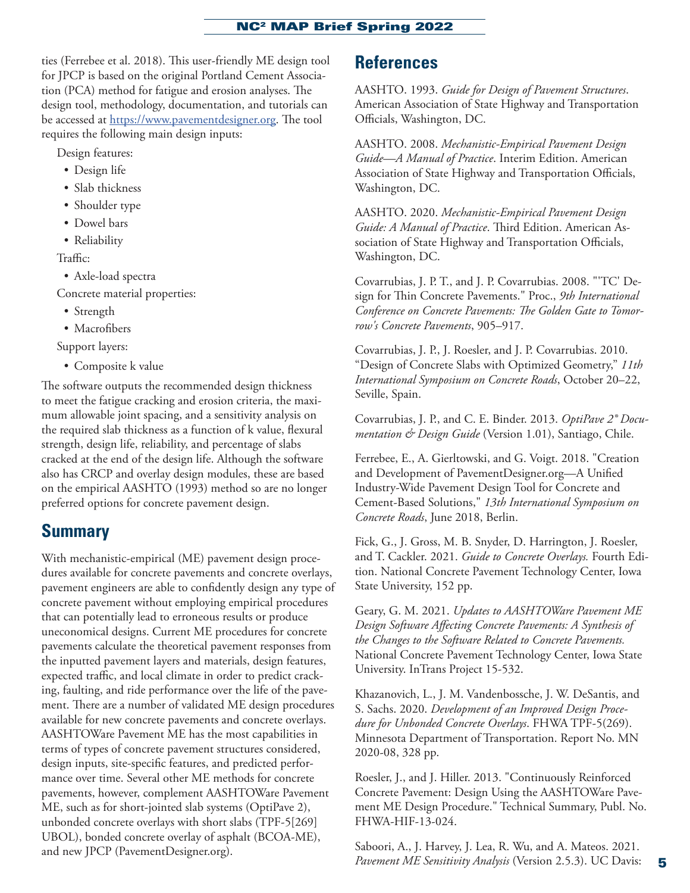ties (Ferrebee et al. 2018). This user-friendly ME design tool for JPCP is based on the original Portland Cement Association (PCA) method for fatigue and erosion analyses. The design tool, methodology, documentation, and tutorials can be accessed at [https://www.pavementdesigner.org.](https://www.pavementdesigner.org) The tool requires the following main design inputs:

Design features:

- Design life
- Slab thickness
- Shoulder type
- Dowel bars
- Reliability

Traffic:

- Axle-load spectra
- Concrete material properties:
	- Strength
	- Macrofibers

Support layers:

• Composite k value

The software outputs the recommended design thickness to meet the fatigue cracking and erosion criteria, the maximum allowable joint spacing, and a sensitivity analysis on the required slab thickness as a function of k value, flexural strength, design life, reliability, and percentage of slabs cracked at the end of the design life. Although the software also has CRCP and overlay design modules, these are based on the empirical AASHTO (1993) method so are no longer preferred options for concrete pavement design.

## **Summary**

With mechanistic-empirical (ME) pavement design procedures available for concrete pavements and concrete overlays, pavement engineers are able to confidently design any type of concrete pavement without employing empirical procedures that can potentially lead to erroneous results or produce uneconomical designs. Current ME procedures for concrete pavements calculate the theoretical pavement responses from the inputted pavement layers and materials, design features, expected traffic, and local climate in order to predict cracking, faulting, and ride performance over the life of the pavement. There are a number of validated ME design procedures available for new concrete pavements and concrete overlays. AASHTOWare Pavement ME has the most capabilities in terms of types of concrete pavement structures considered, design inputs, site-specific features, and predicted performance over time. Several other ME methods for concrete pavements, however, complement AASHTOWare Pavement ME, such as for short-jointed slab systems (OptiPave 2), unbonded concrete overlays with short slabs (TPF-5[269] UBOL), bonded concrete overlay of asphalt (BCOA-ME), and new JPCP (PavementDesigner.org).

## **References**

AASHTO. 1993. *Guide for Design of Pavement Structures*. American Association of State Highway and Transportation Officials, Washington, DC.

AASHTO. 2008. *Mechanistic-Empirical Pavement Design Guide—A Manual of Practice*. Interim Edition. American Association of State Highway and Transportation Officials, Washington, DC.

AASHTO. 2020. *Mechanistic-Empirical Pavement Design Guide: A Manual of Practice*. Third Edition. American Association of State Highway and Transportation Officials, Washington, DC.

Covarrubias, J. P. T., and J. P. Covarrubias. 2008. "'TC' Design for Thin Concrete Pavements." Proc., *9th International Conference on Concrete Pavements: The Golden Gate to Tomorrow's Concrete Pavements*, 905–917.

Covarrubias, J. P., J. Roesler, and J. P. Covarrubias. 2010. "Design of Concrete Slabs with Optimized Geometry," *11th International Symposium on Concrete Roads*, October 20–22, Seville, Spain.

Covarrubias, J. P., and C. E. Binder. 2013. *OptiPave 2® Documentation & Design Guide* (Version 1.01), Santiago, Chile.

Ferrebee, E., A. Gierltowski, and G. Voigt. 2018. "Creation and Development of PavementDesigner.org—A Unified Industry-Wide Pavement Design Tool for Concrete and Cement-Based Solutions," *13th International Symposium on Concrete Roads*, June 2018, Berlin.

Fick, G., J. Gross, M. B. Snyder, D. Harrington, J. Roesler, and T. Cackler. 2021. *Guide to Concrete Overlays.* Fourth Edition. National Concrete Pavement Technology Center, Iowa State University, 152 pp.

Geary, G. M. 2021. *Updates to AASHTOWare Pavement ME Design Software Affecting Concrete Pavements: A Synthesis of the Changes to the Software Related to Concrete Pavements.* National Concrete Pavement Technology Center, Iowa State University. InTrans Project 15-532.

Khazanovich, L., J. M. Vandenbossche, J. W. DeSantis, and S. Sachs. 2020. *Development of an Improved Design Procedure for Unbonded Concrete Overlays*. FHWA TPF-5(269). Minnesota Department of Transportation. Report No. MN 2020-08, 328 pp.

Roesler, J., and J. Hiller. 2013. "Continuously Reinforced Concrete Pavement: Design Using the AASHTOWare Pavement ME Design Procedure." Technical Summary, Publ. No. FHWA-HIF-13-024.

Saboori, A., J. Harvey, J. Lea, R. Wu, and A. Mateos. 2021. *Pavement ME Sensitivity Analysis* (Version 2.5.3). UC Davis: